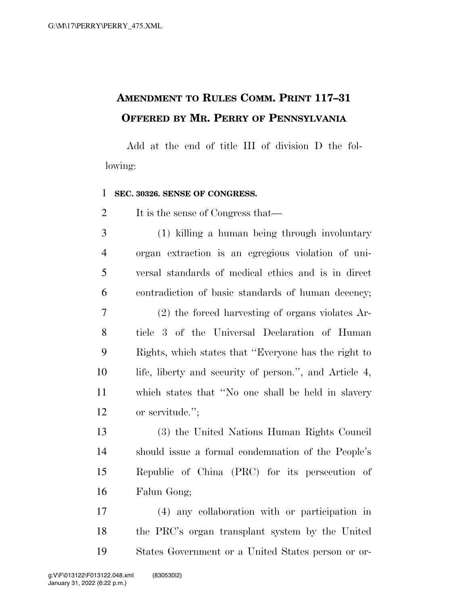## **AMENDMENT TO RULES COMM. PRINT 117–31 OFFERED BY MR. PERRY OF PENNSYLVANIA**

Add at the end of title III of division D the following:

## **SEC. 30326. SENSE OF CONGRESS.**

2 It is the sense of Congress that—

 (1) killing a human being through involuntary organ extraction is an egregious violation of uni- versal standards of medical ethics and is in direct contradiction of basic standards of human decency; (2) the forced harvesting of organs violates Ar- ticle 3 of the Universal Declaration of Human Rights, which states that ''Everyone has the right to life, liberty and security of person.'', and Article 4, which states that ''No one shall be held in slavery or servitude.'';

 (3) the United Nations Human Rights Council should issue a formal condemnation of the People's Republic of China (PRC) for its persecution of Falun Gong;

 (4) any collaboration with or participation in the PRC's organ transplant system by the United States Government or a United States person or or-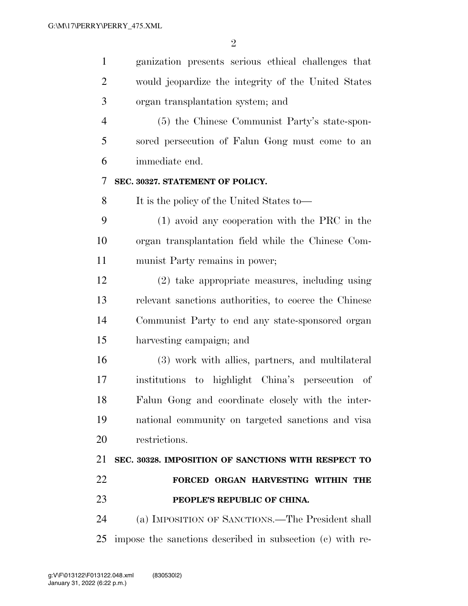| $\mathbf{1}$   | ganization presents serious ethical challenges that       |
|----------------|-----------------------------------------------------------|
| 2              | would jeopardize the integrity of the United States       |
| 3              | organ transplantation system; and                         |
| $\overline{4}$ | (5) the Chinese Communist Party's state-spon-             |
| 5              | sored persecution of Falun Gong must come to an           |
| 6              | immediate end.                                            |
| 7              | SEC. 30327. STATEMENT OF POLICY.                          |
| 8              | It is the policy of the United States to—                 |
| 9              | $(1)$ avoid any cooperation with the PRC in the           |
| 10             | organ transplantation field while the Chinese Com-        |
| 11             | munist Party remains in power;                            |
| 12             | (2) take appropriate measures, including using            |
| 13             | relevant sanctions authorities, to coerce the Chinese     |
| 14             | Communist Party to end any state-sponsored organ          |
| 15             | harvesting campaign; and                                  |
| 16             | (3) work with allies, partners, and multilateral          |
| 17             | institutions to highlight China's persecution of          |
| 18             | Falun Gong and coordinate closely with the inter-         |
| 19             | national community on targeted sanctions and visa         |
| 20             | restrictions.                                             |
| 21             | SEC. 30328. IMPOSITION OF SANCTIONS WITH RESPECT TO       |
| 22             | FORCED ORGAN HARVESTING WITHIN THE                        |
| 23             | PEOPLE'S REPUBLIC OF CHINA.                               |
| 24             | (a) IMPOSITION OF SANCTIONS.—The President shall          |
| 25             | impose the sanctions described in subsection (c) with re- |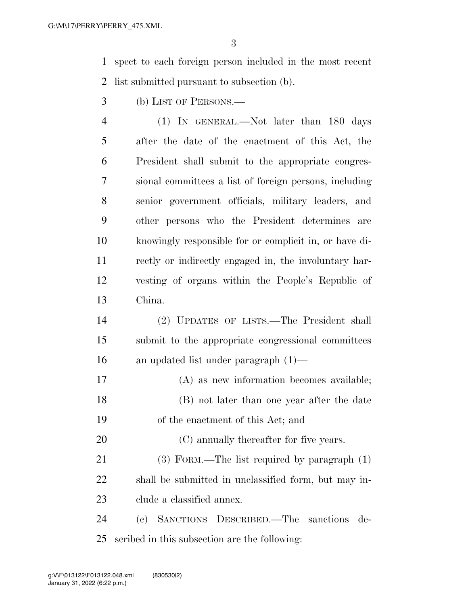spect to each foreign person included in the most recent list submitted pursuant to subsection (b).

- (b) LIST OF PERSONS.—
- (1) IN GENERAL.—Not later than 180 days after the date of the enactment of this Act, the President shall submit to the appropriate congres- sional committees a list of foreign persons, including senior government officials, military leaders, and other persons who the President determines are knowingly responsible for or complicit in, or have di- rectly or indirectly engaged in, the involuntary har- vesting of organs within the People's Republic of China.
- (2) UPDATES OF LISTS.—The President shall submit to the appropriate congressional committees an updated list under paragraph (1)—
- (A) as new information becomes available; (B) not later than one year after the date of the enactment of this Act; and
- 20 (C) annually thereafter for five years.

 (3) FORM.—The list required by paragraph (1) shall be submitted in unclassified form, but may in-clude a classified annex.

 (c) SANCTIONS DESCRIBED.—The sanctions de-scribed in this subsection are the following: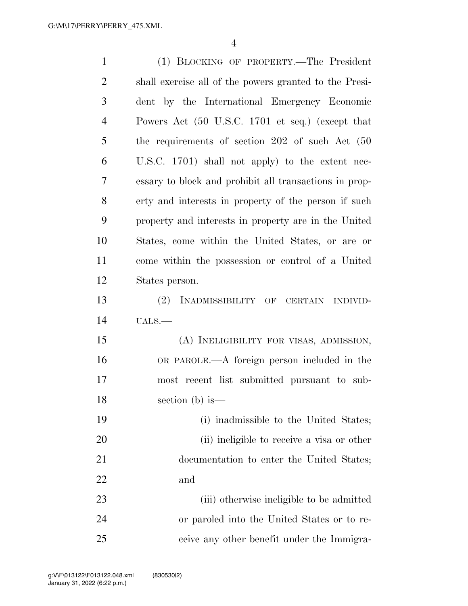| $\mathbf{1}$   | (1) BLOCKING OF PROPERTY.—The President                |
|----------------|--------------------------------------------------------|
| $\overline{2}$ | shall exercise all of the powers granted to the Presi- |
| 3              | dent by the International Emergency Economic           |
| 4              | Powers Act (50 U.S.C. 1701 et seq.) (except that       |
| 5              | the requirements of section 202 of such Act (50        |
| 6              | U.S.C. 1701) shall not apply) to the extent nec-       |
| 7              | essary to block and prohibit all transactions in prop- |
| 8              | erty and interests in property of the person if such   |
| 9              | property and interests in property are in the United   |
| 10             | States, come within the United States, or are or       |
| 11             | come within the possession or control of a United      |
| 12             | States person.                                         |
| 13             | (2)<br>INADMISSIBILITY OF CERTAIN<br><b>INDIVID-</b>   |
| 14             | UALS.                                                  |
| 15             | (A) INELIGIBILITY FOR VISAS, ADMISSION,                |
| 16             | OR PAROLE.—A foreign person included in the            |
| 17             | most recent list submitted pursuant to sub-            |
| 18             | section $(b)$ is —                                     |
| 19             | (i) inadmissible to the United States;                 |
| 20             | (ii) ineligible to receive a visa or other             |
| 21             | documentation to enter the United States;              |
| 22             | and                                                    |
| 23             | (iii) otherwise ineligible to be admitted              |
| 24             | or paroled into the United States or to re-            |
| 25             | ceive any other benefit under the Immigra-             |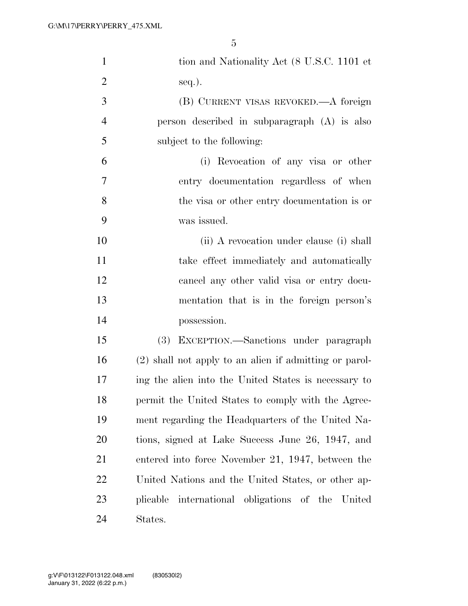| $\mathbf{1}$   | tion and Nationality Act (8 U.S.C. 1101 et             |
|----------------|--------------------------------------------------------|
| $\overline{2}$ | $seq.$ ).                                              |
| 3              | (B) CURRENT VISAS REVOKED.—A foreign                   |
| $\overline{4}$ | person described in subparagraph (A) is also           |
| 5              | subject to the following:                              |
| 6              | (i) Revocation of any visa or other                    |
| 7              | entry documentation regardless of when                 |
| 8              | the visa or other entry documentation is or            |
| 9              | was issued.                                            |
| 10             | (ii) A revocation under clause (i) shall               |
| 11             | take effect immediately and automatically              |
| 12             | cancel any other valid visa or entry docu-             |
| 13             | mentation that is in the foreign person's              |
| 14             | possession.                                            |
| 15             | EXCEPTION.—Sanctions under paragraph<br>(3)            |
| 16             | (2) shall not apply to an alien if admitting or parol- |
| 17             | ing the alien into the United States is necessary to   |
| 18             | permit the United States to comply with the Agree-     |
| 19             | ment regarding the Headquarters of the United Na-      |
| 20             | tions, signed at Lake Success June 26, 1947, and       |
| 21             | entered into force November 21, 1947, between the      |
| 22             | United Nations and the United States, or other ap-     |
| 23             | plicable international obligations of the United       |
| 24             | States.                                                |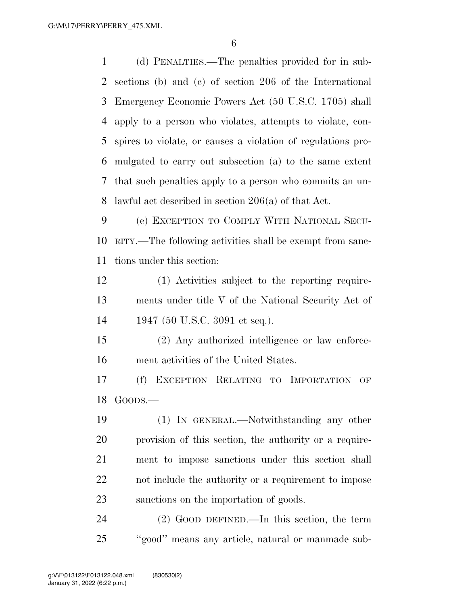(d) PENALTIES.—The penalties provided for in sub- sections (b) and (c) of section 206 of the International Emergency Economic Powers Act (50 U.S.C. 1705) shall apply to a person who violates, attempts to violate, con- spires to violate, or causes a violation of regulations pro- mulgated to carry out subsection (a) to the same extent that such penalties apply to a person who commits an un-lawful act described in section 206(a) of that Act.

 (e) EXCEPTION TO COMPLY WITH NATIONAL SECU- RITY.—The following activities shall be exempt from sanc-tions under this section:

 (1) Activities subject to the reporting require- ments under title V of the National Security Act of 1947 (50 U.S.C. 3091 et seq.).

 (2) Any authorized intelligence or law enforce-ment activities of the United States.

 (f) EXCEPTION RELATING TO IMPORTATION OF GOODS.—

 (1) IN GENERAL.—Notwithstanding any other provision of this section, the authority or a require- ment to impose sanctions under this section shall not include the authority or a requirement to impose sanctions on the importation of goods.

 (2) GOOD DEFINED.—In this section, the term ''good'' means any article, natural or manmade sub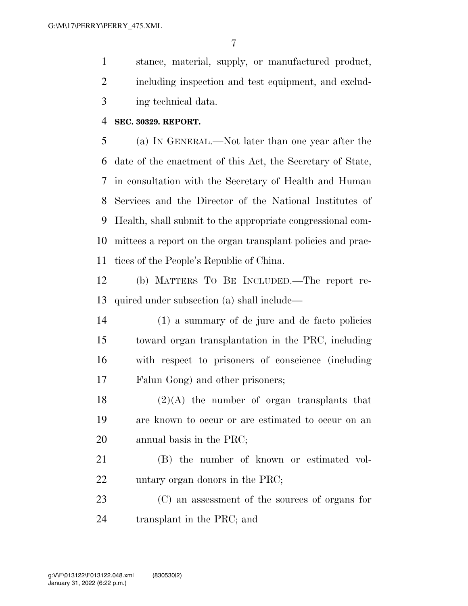stance, material, supply, or manufactured product, including inspection and test equipment, and exclud-ing technical data.

## **SEC. 30329. REPORT.**

 (a) IN GENERAL.—Not later than one year after the date of the enactment of this Act, the Secretary of State, in consultation with the Secretary of Health and Human Services and the Director of the National Institutes of Health, shall submit to the appropriate congressional com- mittees a report on the organ transplant policies and prac-tices of the People's Republic of China.

 (b) MATTERS TO BE INCLUDED.—The report re-quired under subsection (a) shall include—

 (1) a summary of de jure and de facto policies toward organ transplantation in the PRC, including with respect to prisoners of conscience (including Falun Gong) and other prisoners;

18  $(2)(A)$  the number of organ transplants that are known to occur or are estimated to occur on an annual basis in the PRC;

 (B) the number of known or estimated vol-untary organ donors in the PRC;

 (C) an assessment of the sources of organs for transplant in the PRC; and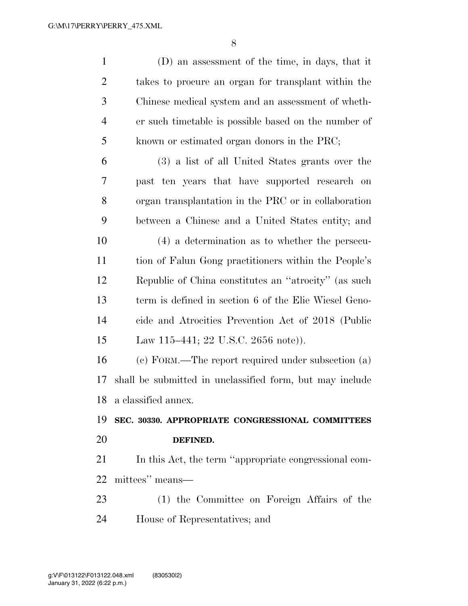| $\mathbf{1}$   | (D) an assessment of the time, in days, that it          |
|----------------|----------------------------------------------------------|
| $\overline{2}$ | takes to procure an organ for transplant within the      |
| 3              | Chinese medical system and an assessment of wheth-       |
| $\overline{4}$ | er such timetable is possible based on the number of     |
| 5              | known or estimated organ donors in the PRC;              |
| 6              | (3) a list of all United States grants over the          |
| 7              | past ten years that have supported research on           |
| 8              | organ transplantation in the PRC or in collaboration     |
| 9              | between a Chinese and a United States entity; and        |
| 10             | $(4)$ a determination as to whether the persecu-         |
| 11             | tion of Falun Gong practitioners within the People's     |
| 12             | Republic of China constitutes an "atrocity" (as such     |
| 13             | term is defined in section 6 of the Elie Wiesel Geno-    |
| 14             | cide and Atrocities Prevention Act of 2018 (Public       |
| 15             | Law 115–441; 22 U.S.C. 2656 note).                       |
| 16             | (c) FORM.—The report required under subsection (a)       |
| 17             | shall be submitted in unclassified form, but may include |
|                | 18 a classified annex.                                   |
| 19             | SEC. 30330. APPROPRIATE CONGRESSIONAL COMMITTEES         |
| 20             | DEFINED.                                                 |
| 21             | In this Act, the term "appropriate congressional com-    |
| 22             | mittees" means—                                          |
| 23             | (1) the Committee on Foreign Affairs of the              |
| 24             | House of Representatives; and                            |